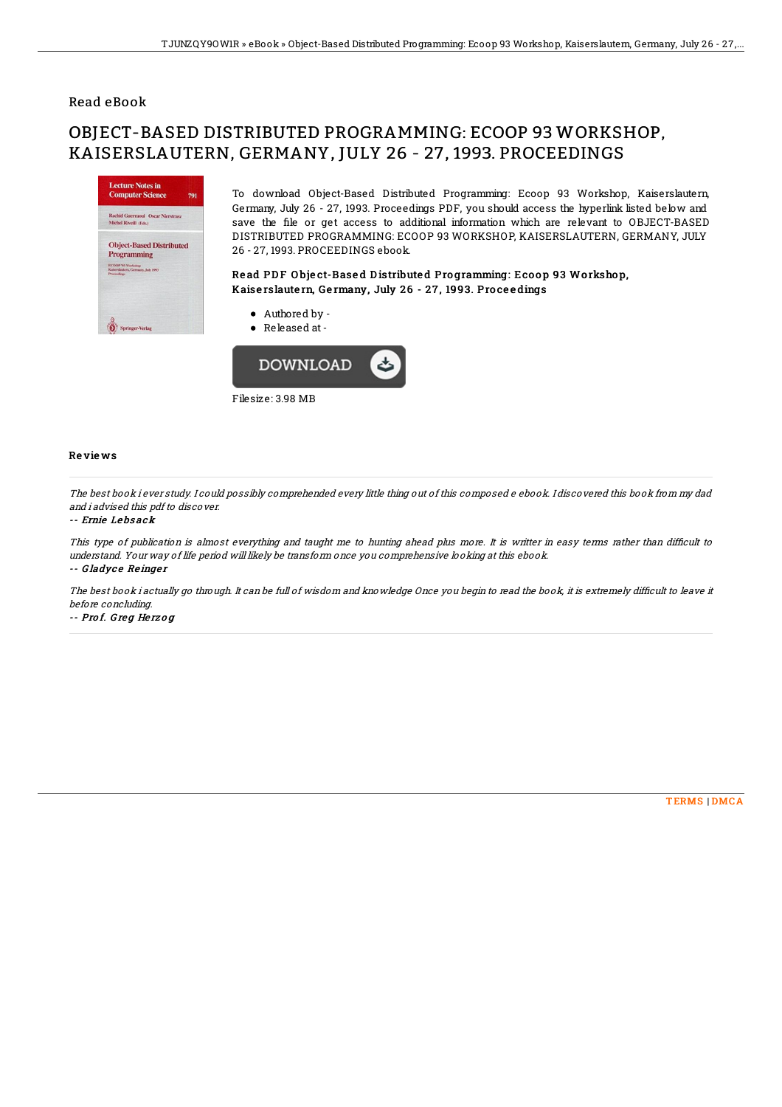## Read eBook

# OBJECT-BASED DISTRIBUTED PROGRAMMING: ECOOP 93 WORKSHOP, KAISERSLAUTERN, GERMANY, JULY 26 - 27, 1993. PROCEEDINGS



To download Object-Based Distributed Programming: Ecoop 93 Workshop, Kaiserslautern, Germany, July 26 - 27, 1993. Proceedings PDF, you should access the hyperlink listed below and save the file or get access to additional information which are relevant to OBJECT-BASED DISTRIBUTED PROGRAMMING: ECOOP 93 WORKSHOP, KAISERSLAUTERN, GERMANY, JULY 26 - 27, 1993. PROCEEDINGS ebook.

### Read PDF Object-Based Distributed Programming: Ecoop 93 Workshop, Kaiserslautern, Germany, July 26 - 27, 1993. Proceedings

- Authored by -
- Released at-



Filesize: 3.98 MB

### Re vie ws

The best book i ever study. I could possibly comprehended every little thing out of this composed <sup>e</sup> ebook. I discovered this book from my dad and i advised this pdf to discover.

#### -- Ernie Le bs ack

This type of publication is almost everything and taught me to hunting ahead plus more. It is writter in easy terms rather than difficult to understand. Your way of life period will likely be transform once you comprehensive looking at this ebook. -- Gladyce Reinger

The best book i actually go through. It can be full of wisdom and knowledge Once you begin to read the book, it is extremely difficult to leave it before concluding.

-- Pro f. G re g He rz <sup>o</sup> g